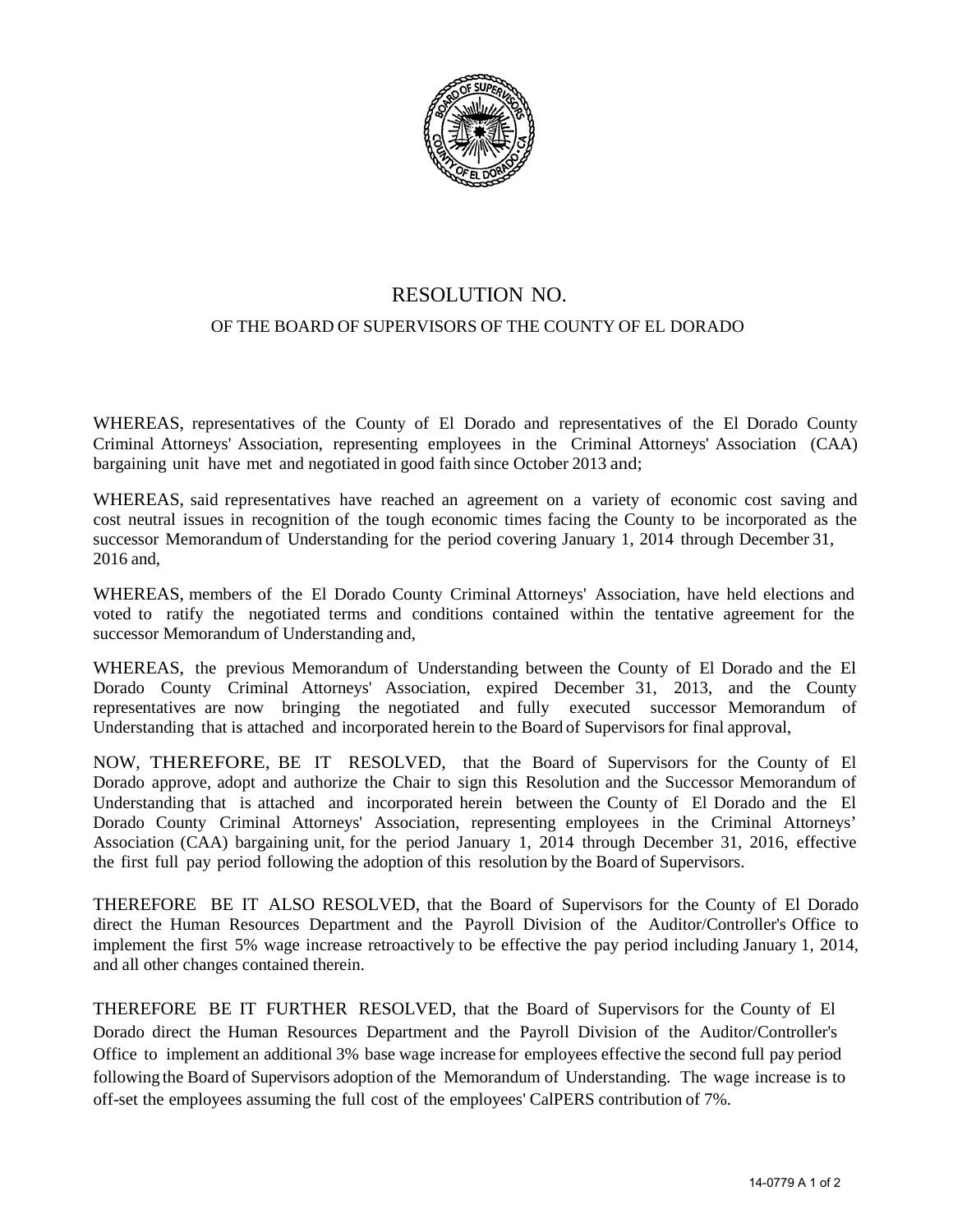

## RESOLUTION NO.

## OF THE BOARD OF SUPERVISORS OF THE COUNTY OF EL DORADO

WHEREAS, representatives of the County of El Dorado and representatives of the El Dorado County Criminal Attorneys' Association, representing employees in the Criminal Attorneys' Association (CAA) bargaining unit have met and negotiated in good faith since October 2013 and;

WHEREAS, said representatives have reached an agreement on a variety of economic cost saving and cost neutral issues in recognition of the tough economic times facing the County to be incorporated as the successor Memorandum of Understanding for the period covering January 1, 2014 through December 31, 2016 and,

WHEREAS, members of the El Dorado County Criminal Attorneys' Association, have held elections and voted to ratify the negotiated terms and conditions contained within the tentative agreement for the successor Memorandum of Understanding and,

WHEREAS, the previous Memorandum of Understanding between the County of El Dorado and the El Dorado County Criminal Attorneys' Association, expired December 31, 2013, and the County representatives are now bringing the negotiated and fully executed successor Memorandum of Understanding that is attached and incorporated herein to the Board of Supervisors for final approval,

NOW, THEREFORE, BE IT RESOLVED, that the Board of Supervisors for the County of El Dorado approve, adopt and authorize the Chair to sign this Resolution and the Successor Memorandum of Understanding that is attached and incorporated herein between the County of El Dorado and the El Dorado County Criminal Attorneys' Association, representing employees in the Criminal Attorneys' Association (CAA) bargaining unit, for the period January 1, 2014 through December 31, 2016, effective the first full pay period following the adoption of this resolution by the Board of Supervisors.

THEREFORE BE IT ALSO RESOLVED, that the Board of Supervisors for the County of El Dorado direct the Human Resources Department and the Payroll Division of the Auditor/Controller's Office to implement the first 5% wage increase retroactively to be effective the pay period including January 1, 2014, and all other changes contained therein.

THEREFORE BE IT FURTHER RESOLVED, that the Board of Supervisors for the County of El Dorado direct the Human Resources Department and the Payroll Division of the Auditor/Controller's Office to implement an additional 3% base wage increase for employees effective the second full pay period following the Board of Supervisors adoption of the Memorandum of Understanding. The wage increase is to off-set the employees assuming the full cost of the employees' CalPERS contribution of 7%.